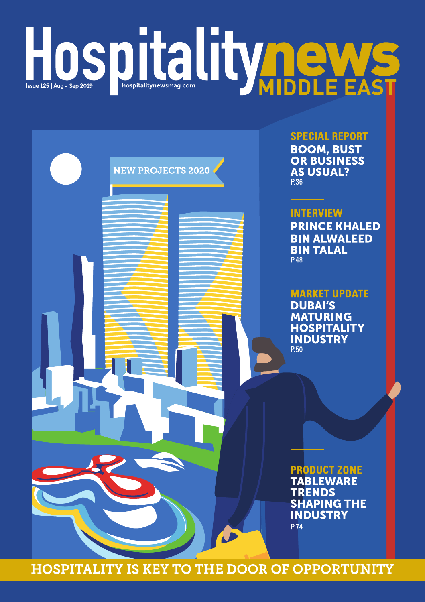# HOSDITALITY ONE FAST



**SPECIAL REPORT BOOM, BUST** 

**OR BUSINESS AS USUAL?** P.36

# **INTERVIEW**

**PRINCE KHALED BIN ALWALEED BIN TALAL** P.48

**MARKET UPDATE DUBAI'S MATURING HOSPITALITY INDUSTRY** P.50

**PRODUCT ZONE TABLEWARE TRENDS SHAPING THE INDUSTRY** P.74

**HOSPITALITY IS KEY TO THE DOOR OF OPPORTUNITY**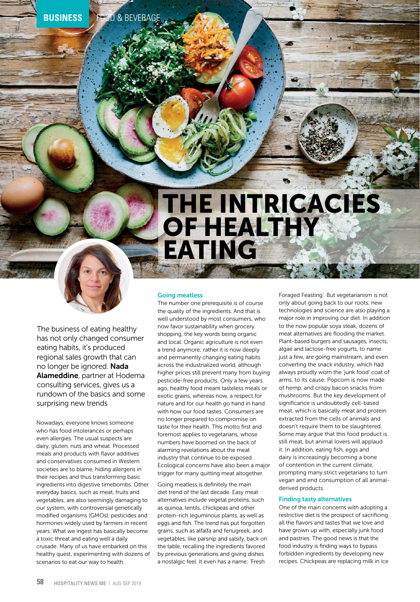# THE INTRICACIES OF HEALTHY EATING

The business of eating healthy has not only changed consumer eating habits, it's produced regional sales growth that can no longer be ignored. Nada Alameddine, partner at Hodema consulting services, gives us a rundown of the basics and some surprising new trends

Nowadays, everyone knows someone who has food intolerances or perhaps even allergies. The usual suspects are dairy, gluten, nuts and wheat. Processed meals and products with flavor additives and conservatives consumed in Western societies are to blame, hiding allergens in their recipes and thus transforming basic ingredients into digestive timebombs. Other everyday basics, such as meat, fruits and vegetables, are also seemingly damaging to our system, with controversial genetically modified organisms (GMOs), pesticides and hormones widely used by farmers in recent years. What we ingest has basically become a toxic threat and eating well a daily crusade. Many of us have embarked on this healthy quest, experimenting with dozens of scenarios to eat our way to health.

### Going meatless

The number one prerequisite is of course the quality of the ingredients. And that is well understood by most consumers, who now favor sustainability when grocery shopping, the key words being organic and local. Organic agriculture is not even a trend anymore; rather it is now deeply and permanently changing eating habits across the industrialized world, although higher prices still prevent many from buying pesticide-free products. Only a few years ago, healthy food meant tasteless meals or exotic grains, whereas now, a respect for nature and for our health go hand in hand with how our food tastes. Consumers are no longer prepared to compromise on taste for their health. This motto first and foremost applies to vegetarians, whose numbers have boomed on the back of alarming revelations about the meat industry that continue to be exposed. Ecological concerns have also been a major trigger for many quitting meat altogether.

Going meatless is definitely the main diet trend of the last decade. Easy meat alternatives include vegetal proteins, such as quinoa, lentils, chickpeas and other protein-rich leguminous plants, as well as eggs and fish. The trend has put forgotten grains, such as alfalfa and fenugreek, and vegetables, like parsnip and salsify, back on the table, recalling the ingredients favored by previous generations and giving dishes a nostalgic feel. It even has a name: 'Fresh

Foraged Feasting'. But vegetarianism is not only about going back to our roots; new technologies and science are also playing a major role in improving our diet. In addition to the now popular soya steak, dozens of meat alternatives are flooding the market. Plant-based burgers and sausages, insects, algae and lactose-free yogurts, to name just a few, are going mainstream, and even converting the snack industry, which had always proudly worn the 'junk food' coat of arms, to its cause. Popcorn is now made of hemp, and crispy bacon snacks from mushrooms. But the key development of significance is undoubtedly cell-based meat, which is basically meat and protein extracted from the cells of animals and doesn't require them to be slaughtered. Some may argue that this food product is still meat, but animal lovers will applaud it. In addition, eating fish, eggs and dairy is increasingly becoming a bone of contention in the current climate, prompting many strict vegetarians to turn vegan and end consumption of all animalderived products.

### Finding tasty alternatives

One of the main concerns with adopting a restrictive diet is the prospect of sacrificing all the flavors and tastes that we love and have grown up with, especially junk food and pastries. The good news is that the food industry is finding ways to bypass forbidden ingredients by developing new recipes. Chickpeas are replacing milk in ice